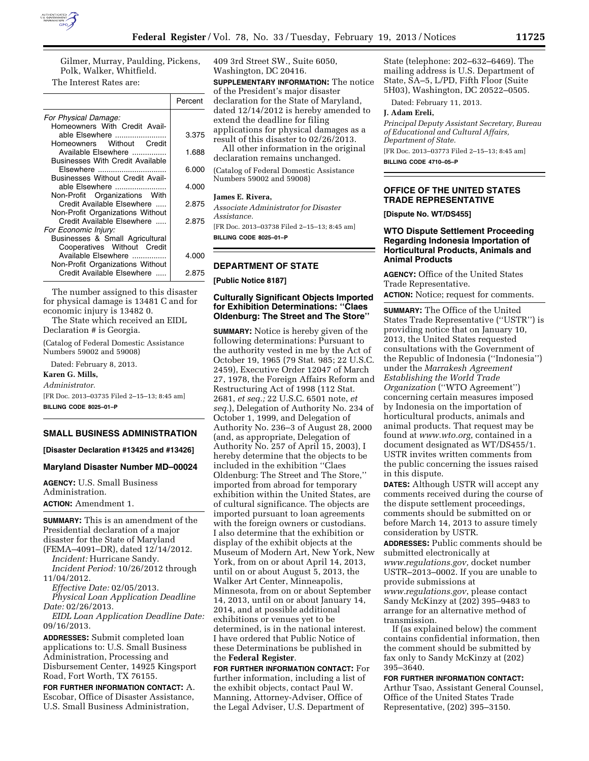

Gilmer, Murray, Paulding, Pickens, Polk, Walker, Whitfield.

The Interest Rates are:

|                                                                | Percent |
|----------------------------------------------------------------|---------|
| For Physical Damage:<br>Homeowners With Credit Avail-          |         |
| able Elsewhere<br>Homeowners Without Credit                    | 3.375   |
| Available Elsewhere<br><b>Businesses With Credit Available</b> | 1.688   |
| Elsewhere<br><b>Businesses Without Credit Avail-</b>           | 6.000   |
| able Elsewhere<br>Non-Profit Organizations With                | 4.000   |
| Credit Available Elsewhere<br>Non-Profit Organizations Without | 2.875   |
| Credit Available Elsewhere<br>For Economic Injury:             | 2.875   |
| Businesses & Small Agricultural<br>Cooperatives Without Credit |         |
| Available Elsewhere<br>Non-Profit Organizations Without        | 4.000   |
| Credit Available Elsewhere                                     | 2.875   |

The number assigned to this disaster for physical damage is 13481 C and for economic injury is 13482 0.

The State which received an EIDL Declaration # is Georgia.

(Catalog of Federal Domestic Assistance Numbers 59002 and 59008)

Dated: February 8, 2013. **Karen G. Mills,**  *Administrator.*  [FR Doc. 2013–03735 Filed 2–15–13; 8:45 am] **BILLING CODE 8025–01–P** 

### **SMALL BUSINESS ADMINISTRATION**

**[Disaster Declaration #13425 and #13426]** 

### **Maryland Disaster Number MD–00024**

**AGENCY:** U.S. Small Business Administration.

**ACTION:** Amendment 1.

**SUMMARY:** This is an amendment of the Presidential declaration of a major disaster for the State of Maryland

(FEMA–4091–DR), dated 12/14/2012. *Incident:* Hurricane Sandy. *Incident Period:* 10/26/2012 through

11/04/2012.

*Effective Date:* 02/05/2013. *Physical Loan Application Deadline Date:* 02/26/2013.

*EIDL Loan Application Deadline Date:*  09/16/2013.

**ADDRESSES:** Submit completed loan applications to: U.S. Small Business Administration, Processing and Disbursement Center, 14925 Kingsport Road, Fort Worth, TX 76155.

**FOR FURTHER INFORMATION CONTACT:** A. Escobar, Office of Disaster Assistance, U.S. Small Business Administration,

409 3rd Street SW., Suite 6050, Washington, DC 20416.

**SUPPLEMENTARY INFORMATION:** The notice of the President's major disaster declaration for the State of Maryland, dated 12/14/2012 is hereby amended to extend the deadline for filing applications for physical damages as a result of this disaster to 02/26/2013. All other information in the original

declaration remains unchanged.

(Catalog of Federal Domestic Assistance Numbers 59002 and 59008)

#### **James E. Rivera,**

*Associate Administrator for Disaster Assistance.* 

[FR Doc. 2013–03738 Filed 2–15–13; 8:45 am] **BILLING CODE 8025–01–P** 

# **DEPARTMENT OF STATE**

**[Public Notice 8187]** 

## **Culturally Significant Objects Imported for Exhibition Determinations: ''Claes Oldenburg: The Street and The Store''**

**SUMMARY:** Notice is hereby given of the following determinations: Pursuant to the authority vested in me by the Act of October 19, 1965 (79 Stat. 985; 22 U.S.C. 2459), Executive Order 12047 of March 27, 1978, the Foreign Affairs Reform and Restructuring Act of 1998 (112 Stat. 2681, *et seq.;* 22 U.S.C. 6501 note, *et seq.*), Delegation of Authority No. 234 of October 1, 1999, and Delegation of Authority No. 236–3 of August 28, 2000 (and, as appropriate, Delegation of Authority No. 257 of April 15, 2003), I hereby determine that the objects to be included in the exhibition ''Claes Oldenburg: The Street and The Store,'' imported from abroad for temporary exhibition within the United States, are of cultural significance. The objects are imported pursuant to loan agreements with the foreign owners or custodians. I also determine that the exhibition or display of the exhibit objects at the Museum of Modern Art, New York, New York, from on or about April 14, 2013, until on or about August 5, 2013, the Walker Art Center, Minneapolis, Minnesota, from on or about September 14, 2013, until on or about January 14, 2014, and at possible additional exhibitions or venues yet to be determined, is in the national interest. I have ordered that Public Notice of these Determinations be published in the **Federal Register**.

**FOR FURTHER INFORMATION CONTACT:** For further information, including a list of the exhibit objects, contact Paul W. Manning, Attorney-Adviser, Office of the Legal Adviser, U.S. Department of

State (telephone: 202–632–6469). The mailing address is U.S. Department of State, SA–5, L/PD, Fifth Floor (Suite 5H03), Washington, DC 20522–0505.

Dated: February 11, 2013.

#### **J. Adam Ereli,**

*Principal Deputy Assistant Secretary, Bureau of Educational and Cultural Affairs, Department of State.*  [FR Doc. 2013–03773 Filed 2–15–13; 8:45 am] **BILLING CODE 4710–05–P** 

# **OFFICE OF THE UNITED STATES TRADE REPRESENTATIVE**

**[Dispute No. WT/DS455]** 

# **WTO Dispute Settlement Proceeding Regarding Indonesia Importation of Horticultural Products, Animals and Animal Products**

**AGENCY:** Office of the United States Trade Representative.

**ACTION:** Notice; request for comments.

**SUMMARY:** The Office of the United States Trade Representative (''USTR'') is providing notice that on January 10, 2013, the United States requested consultations with the Government of the Republic of Indonesia (''Indonesia'') under the *Marrakesh Agreement Establishing the World Trade Organization* (''WTO Agreement'') concerning certain measures imposed by Indonesia on the importation of horticultural products, animals and animal products. That request may be found at *[www.wto.org](http://www.wto.org)*, contained in a document designated as WT/DS455/1. USTR invites written comments from the public concerning the issues raised in this dispute.

**DATES:** Although USTR will accept any comments received during the course of the dispute settlement proceedings, comments should be submitted on or before March 14, 2013 to assure timely consideration by USTR.

**ADDRESSES:** Public comments should be submitted electronically at *[www.regulations.gov,](http://www.regulations.gov)* docket number USTR–2013–0002. If you are unable to provide submissions at

*[www.regulations.gov](http://www.regulations.gov)*, please contact Sandy McKinzy at (202) 395–9483 to arrange for an alternative method of transmission.

If (as explained below) the comment contains confidential information, then the comment should be submitted by fax only to Sandy McKinzy at (202) 395–3640.

### **FOR FURTHER INFORMATION CONTACT:**

Arthur Tsao, Assistant General Counsel, Office of the United States Trade Representative, (202) 395–3150.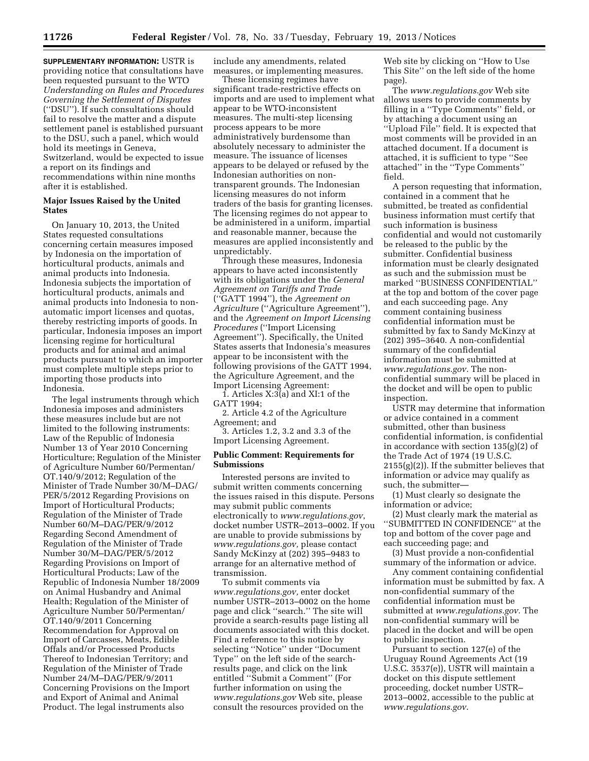**SUPPLEMENTARY INFORMATION:** USTR is providing notice that consultations have been requested pursuant to the WTO *Understanding on Rules and Procedures Governing the Settlement of Disputes*  (''DSU''). If such consultations should fail to resolve the matter and a dispute settlement panel is established pursuant to the DSU, such a panel, which would hold its meetings in Geneva, Switzerland, would be expected to issue a report on its findings and recommendations within nine months after it is established.

## **Major Issues Raised by the United States**

On January 10, 2013, the United States requested consultations concerning certain measures imposed by Indonesia on the importation of horticultural products, animals and animal products into Indonesia. Indonesia subjects the importation of horticultural products, animals and animal products into Indonesia to nonautomatic import licenses and quotas, thereby restricting imports of goods. In particular, Indonesia imposes an import licensing regime for horticultural products and for animal and animal products pursuant to which an importer must complete multiple steps prior to importing those products into Indonesia.

The legal instruments through which Indonesia imposes and administers these measures include but are not limited to the following instruments: Law of the Republic of Indonesia Number 13 of Year 2010 Concerning Horticulture; Regulation of the Minister of Agriculture Number 60/Permentan/ OT.140/9/2012; Regulation of the Minister of Trade Number 30/M–DAG/ PER/5/2012 Regarding Provisions on Import of Horticultural Products; Regulation of the Minister of Trade Number 60/M–DAG/PER/9/2012 Regarding Second Amendment of Regulation of the Minister of Trade Number 30/M–DAG/PER/5/2012 Regarding Provisions on Import of Horticultural Products; Law of the Republic of Indonesia Number 18/2009 on Animal Husbandry and Animal Health; Regulation of the Minister of Agriculture Number 50/Permentan/ OT.140/9/2011 Concerning Recommendation for Approval on Import of Carcasses, Meats, Edible Offals and/or Processed Products Thereof to Indonesian Territory; and Regulation of the Minister of Trade Number 24/M–DAG/PER/9/2011 Concerning Provisions on the Import and Export of Animal and Animal Product. The legal instruments also

include any amendments, related measures, or implementing measures.

These licensing regimes have significant trade-restrictive effects on imports and are used to implement what appear to be WTO-inconsistent measures. The multi-step licensing process appears to be more administratively burdensome than absolutely necessary to administer the measure. The issuance of licenses appears to be delayed or refused by the Indonesian authorities on nontransparent grounds. The Indonesian licensing measures do not inform traders of the basis for granting licenses. The licensing regimes do not appear to be administered in a uniform, impartial and reasonable manner, because the measures are applied inconsistently and unpredictably.

Through these measures, Indonesia appears to have acted inconsistently with its obligations under the *General Agreement on Tariffs and Trade*  (''GATT 1994''), the *Agreement on Agriculture* (''Agriculture Agreement''), and the *Agreement on Import Licensing Procedures* (''Import Licensing Agreement''). Specifically, the United States asserts that Indonesia's measures appear to be inconsistent with the following provisions of the GATT 1994, the Agriculture Agreement, and the Import Licensing Agreement:

1. Articles X:3(a) and XI:1 of the GATT 1994;

2. Article 4.2 of the Agriculture Agreement; and

3. Articles 1.2, 3.2 and 3.3 of the Import Licensing Agreement.

## **Public Comment: Requirements for Submissions**

Interested persons are invited to submit written comments concerning the issues raised in this dispute. Persons may submit public comments electronically to *[www.regulations.gov](http://www.regulations.gov)*, docket number USTR–2013–0002. If you are unable to provide submissions by *[www.regulations.gov,](http://www.regulations.gov)* please contact Sandy McKinzy at (202) 395–9483 to arrange for an alternative method of transmission.

To submit comments via *[www.regulations.gov,](http://www.regulations.gov)* enter docket number USTR–2013–0002 on the home page and click ''search.'' The site will provide a search-results page listing all documents associated with this docket. Find a reference to this notice by selecting ''Notice'' under ''Document Type'' on the left side of the searchresults page, and click on the link entitled ''Submit a Comment'' (For further information on using the *[www.regulations.gov](http://www.regulations.gov)* Web site, please consult the resources provided on the

Web site by clicking on ''How to Use This Site'' on the left side of the home page).

The *[www.regulations.gov](http://www.regulations.gov)* Web site allows users to provide comments by filling in a ''Type Comments'' field, or by attaching a document using an ''Upload File'' field. It is expected that most comments will be provided in an attached document. If a document is attached, it is sufficient to type ''See attached'' in the ''Type Comments'' field.

A person requesting that information, contained in a comment that he submitted, be treated as confidential business information must certify that such information is business confidential and would not customarily be released to the public by the submitter. Confidential business information must be clearly designated as such and the submission must be marked ''BUSINESS CONFIDENTIAL'' at the top and bottom of the cover page and each succeeding page. Any comment containing business confidential information must be submitted by fax to Sandy McKinzy at (202) 395–3640. A non-confidential summary of the confidential information must be submitted at *[www.regulations.gov.](http://www.regulations.gov)* The nonconfidential summary will be placed in the docket and will be open to public inspection.

USTR may determine that information or advice contained in a comment submitted, other than business confidential information, is confidential in accordance with section 135(g)(2) of the Trade Act of 1974 (19 U.S.C.  $2155(g)(2)$ ). If the submitter believes that information or advice may qualify as such, the submitter—

(1) Must clearly so designate the information or advice;

(2) Must clearly mark the material as ''SUBMITTED IN CONFIDENCE'' at the top and bottom of the cover page and each succeeding page; and

(3) Must provide a non-confidential summary of the information or advice.

Any comment containing confidential information must be submitted by fax. A non-confidential summary of the confidential information must be submitted at *[www.regulations.gov.](http://www.regulations.gov)* The non-confidential summary will be placed in the docket and will be open to public inspection.

Pursuant to section 127(e) of the Uruguay Round Agreements Act (19 U.S.C. 3537(e)), USTR will maintain a docket on this dispute settlement proceeding, docket number USTR– 2013–0002, accessible to the public at *[www.regulations.gov](http://www.regulations.gov)*.